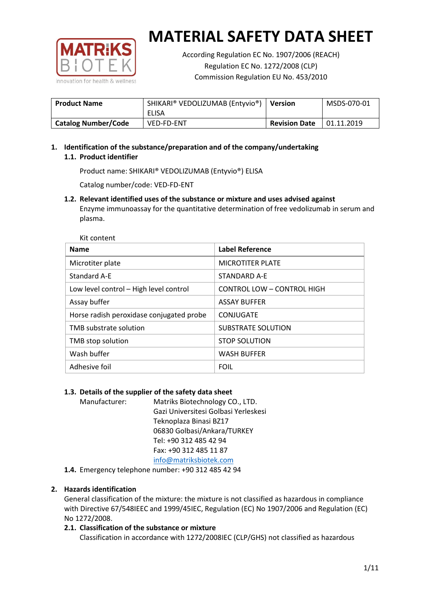

According Regulation EC No. 1907/2006 (REACH) Regulation EC No. 1272/2008 (CLP) Commission Regulation EU No. 453/2010

| <b>Product Name</b>        | SHIKARI® VEDOLIZUMAB (Entyvio®)<br>ELISA | <b>Version</b>       | MSDS-070-01 |
|----------------------------|------------------------------------------|----------------------|-------------|
| <b>Catalog Number/Code</b> | <b>VED-FD-ENT</b>                        | <b>Revision Date</b> | 01.11.2019  |

# **1. Identification of the substance/preparation and of the company/undertaking 1.1. Product identifier**

Product name: SHIKARI® VEDOLIZUMAB (Entyvio®) ELISA

Catalog number/code: VED-FD-ENT

**1.2. Relevant identified uses of the substance or mixture and uses advised against** Enzyme immunoassay for the quantitative determination of free vedolizumab in serum and plasma.

| <b>Name</b>                              | <b>Label Reference</b>            |
|------------------------------------------|-----------------------------------|
| Microtiter plate                         | <b>MICROTITER PLATE</b>           |
| <b>Standard A-E</b>                      | STANDARD A-F                      |
| Low level control - High level control   | <b>CONTROL LOW - CONTROL HIGH</b> |
| Assay buffer                             | <b>ASSAY BUFFER</b>               |
| Horse radish peroxidase conjugated probe | CONJUGATE                         |
| TMB substrate solution                   | <b>SUBSTRATE SOLUTION</b>         |
| TMB stop solution                        | <b>STOP SOLUTION</b>              |
| Wash buffer                              | <b>WASH BUFFER</b>                |
| Adhesive foil                            | <b>FOIL</b>                       |

## **1.3. Details of the supplier of the safety data sheet**

Manufacturer: Matriks Biotechnology CO., LTD. Gazi Universitesi Golbasi Yerleskesi Teknoplaza Binasi BZ17 06830 Golbasi/Ankara/TURKEY Tel: +90 312 485 42 94 Fax: +90 312 485 11 87 [info@matriksbiotek.com](mailto:info@matriksbiotek.com)

**1.4.** Emergency telephone number: +90 312 485 42 94

## **2. Hazards identification**

General classification of the mixture: the mixture is not classified as hazardous in compliance with Directive 67/548IEEC and 1999/45IEC, Regulation (EC) No 1907/2006 and Regulation (EC) No 1272/2008.

## **2.1. Classification of the substance or mixture**

Classification in accordance with 1272/2008IEC (CLP/GHS) not classified as hazardous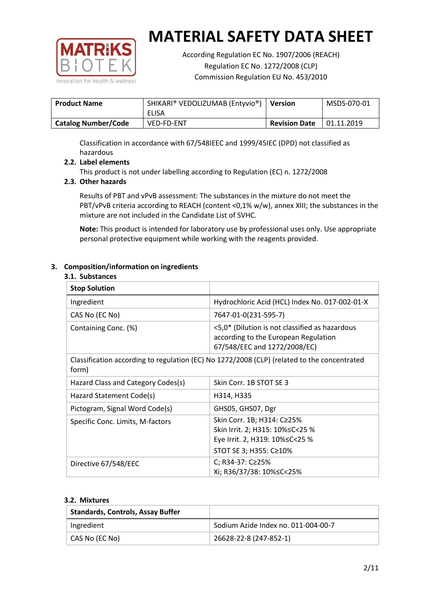

According Regulation EC No. 1907/2006 (REACH) Regulation EC No. 1272/2008 (CLP) Commission Regulation EU No. 453/2010

| <b>Product Name</b>        | SHIKARI® VEDOLIZUMAB (Entyvio®)<br>ELISA | <b>Version</b>       | MSDS-070-01 |
|----------------------------|------------------------------------------|----------------------|-------------|
| <b>Catalog Number/Code</b> | <b>VED-FD-ENT</b>                        | <b>Revision Date</b> | 01.11.2019  |

Classification in accordance with 67/548IEEC and 1999/45IEC (DPD) not classified as hazardous

## **2.2. Label elements**

This product is not under labelling according to Regulation (EC) n. 1272/2008

## **2.3. Other hazards**

Results of PBT and vPvB assessment: The substances in the mixture do not meet the PBT/vPvB criteria according to REACH (content <0,1% w/w), annex XIII; the substances in the mixture are not included in the Candidate List of SVHC.

**Note:** This product is intended for laboratory use by professional uses only. Use appropriate personal protective equipment while working with the reagents provided.

## **3. Composition/information on ingredients**

#### **3.1. Substances**

| <b>Stop Solution</b>                                                                                 |                                                                                                                               |
|------------------------------------------------------------------------------------------------------|-------------------------------------------------------------------------------------------------------------------------------|
| Ingredient                                                                                           | Hydrochloric Acid (HCL) Index No. 017-002-01-X                                                                                |
| CAS No (EC No)                                                                                       | 7647-01-0(231-595-7)                                                                                                          |
| Containing Conc. (%)                                                                                 | <5,0* (Dilution is not classified as hazardous<br>according to the European Regulation<br>67/548/EEC and 1272/2008/EC)        |
| Classification according to regulation (EC) No 1272/2008 (CLP) (related to the concentrated<br>form) |                                                                                                                               |
| Hazard Class and Category Codes(s)                                                                   | Skin Corr. 1B STOT SE 3                                                                                                       |
| Hazard Statement Code(s)                                                                             | H314, H335                                                                                                                    |
| Pictogram, Signal Word Code(s)                                                                       | GHS05, GHS07, Dgr                                                                                                             |
| Specific Conc. Limits, M-factors                                                                     | Skin Corr. 1B; H314: C≥25%<br>Skin Irrit. 2; H315: 10% ≤ C < 25 %<br>Eye Irrit. 2, H319: 10%≤C<25 %<br>STOT SE 3; H355: C≥10% |
| Directive 67/548/EEC                                                                                 | C; R34-37: C≥25%<br>Xi; R36/37/38: 10%≤C<25%                                                                                  |

#### **3.2. Mixtures**

| <b>Standards, Controls, Assay Buffer</b> |                                     |
|------------------------------------------|-------------------------------------|
| Ingredient                               | Sodium Azide Index no. 011-004-00-7 |
| CAS No (EC No)                           | 26628-22-8 (247-852-1)              |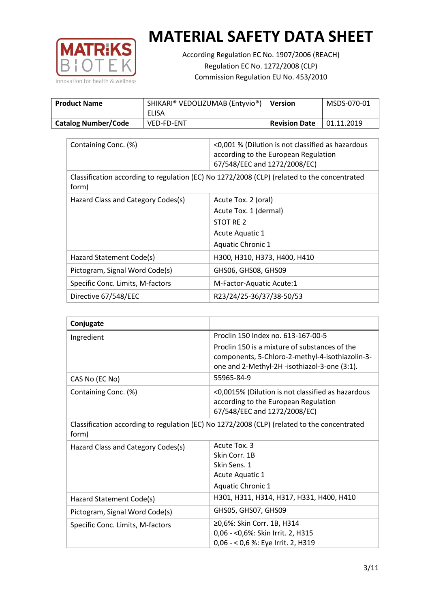

According Regulation EC No. 1907/2006 (REACH) Regulation EC No. 1272/2008 (CLP) Commission Regulation EU No. 453/2010

| <b>Product Name</b>        | SHIKARI® VEDOLIZUMAB (Entyvio®)<br>ELISA | <b>Version</b>       | MSDS-070-01 |
|----------------------------|------------------------------------------|----------------------|-------------|
| <b>Catalog Number/Code</b> | <b>VED-FD-ENT</b>                        | <b>Revision Date</b> | 01.11.2019  |

| Containing Conc. (%)                                                                                 | <0,001 % (Dilution is not classified as hazardous<br>according to the European Regulation<br>67/548/EEC and 1272/2008/EC) |  |
|------------------------------------------------------------------------------------------------------|---------------------------------------------------------------------------------------------------------------------------|--|
| Classification according to regulation (EC) No 1272/2008 (CLP) (related to the concentrated<br>form) |                                                                                                                           |  |
| Hazard Class and Category Codes(s)                                                                   | Acute Tox. 2 (oral)                                                                                                       |  |
|                                                                                                      | Acute Tox. 1 (dermal)                                                                                                     |  |
|                                                                                                      | STOT RE 2                                                                                                                 |  |
|                                                                                                      | Acute Aquatic 1                                                                                                           |  |
|                                                                                                      | <b>Aquatic Chronic 1</b>                                                                                                  |  |
| Hazard Statement Code(s)                                                                             | H300, H310, H373, H400, H410                                                                                              |  |
| Pictogram, Signal Word Code(s)                                                                       | GHS06, GHS08, GHS09                                                                                                       |  |
| Specific Conc. Limits, M-factors                                                                     | M-Factor-Aquatic Acute:1                                                                                                  |  |
| Directive 67/548/EEC                                                                                 | R23/24/25-36/37/38-50/53                                                                                                  |  |

| Conjugate                          |                                                                                                                                                  |
|------------------------------------|--------------------------------------------------------------------------------------------------------------------------------------------------|
| Ingredient                         | Proclin 150 Index no. 613-167-00-5                                                                                                               |
|                                    | Proclin 150 is a mixture of substances of the<br>components, 5-Chloro-2-methyl-4-isothiazolin-3-<br>one and 2-Methyl-2H -isothiazol-3-one (3:1). |
| CAS No (EC No)                     | 55965-84-9                                                                                                                                       |
| Containing Conc. (%)               | <0,0015% (Dilution is not classified as hazardous<br>according to the European Regulation<br>67/548/EEC and 1272/2008/EC)                        |
| form)                              | Classification according to regulation (EC) No 1272/2008 (CLP) (related to the concentrated                                                      |
| Hazard Class and Category Codes(s) | Acute Tox. 3<br>Skin Corr. 1B<br>Skin Sens. 1<br>Acute Aquatic 1<br><b>Aquatic Chronic 1</b>                                                     |
| Hazard Statement Code(s)           | H301, H311, H314, H317, H331, H400, H410                                                                                                         |
| Pictogram, Signal Word Code(s)     | GHS05, GHS07, GHS09                                                                                                                              |
| Specific Conc. Limits, M-factors   | ≥0,6%: Skin Corr. 1B, H314<br>0,06 - < 0,6%: Skin Irrit. 2, H315<br>0,06 - < 0,6 %: Eye Irrit. 2, H319                                           |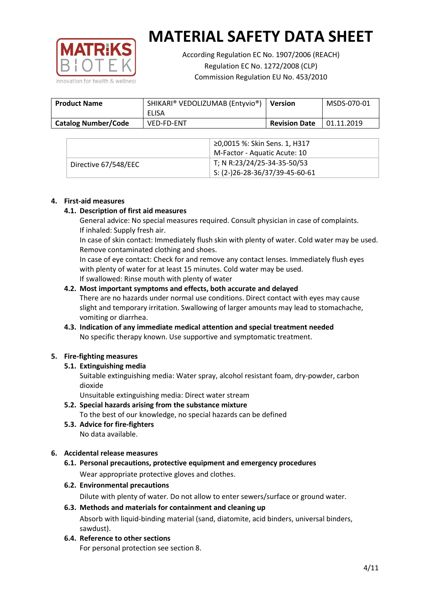

According Regulation EC No. 1907/2006 (REACH) Regulation EC No. 1272/2008 (CLP) Commission Regulation EU No. 453/2010

| <b>Product Name</b>        | SHIKARI® VEDOLIZUMAB (Entyvio®)<br>ELISA | <b>Version</b>       | MSDS-070-01 |
|----------------------------|------------------------------------------|----------------------|-------------|
| <b>Catalog Number/Code</b> | <b>VED-FD-ENT</b>                        | <b>Revision Date</b> | 01.11.2019  |

|                      | ≥0,0015 %: Skin Sens. 1, H317                |
|----------------------|----------------------------------------------|
|                      | M-Factor - Aquatic Acute: 10                 |
| Directive 67/548/EEC | T; N R:23/24/25-34-35-50/53                  |
|                      | $\frac{1}{2}$ S: (2-)26-28-36/37/39-45-60-61 |

#### **4. First-aid measures**

## **4.1. Description of first aid measures**

General advice: No special measures required. Consult physician in case of complaints. If inhaled: Supply fresh air.

In case of skin contact: Immediately flush skin with plenty of water. Cold water may be used. Remove contaminated clothing and shoes.

In case of eye contact: Check for and remove any contact lenses. Immediately flush eyes with plenty of water for at least 15 minutes. Cold water may be used. If swallowed: Rinse mouth with plenty of water

## **4.2. Most important symptoms and effects, both accurate and delayed**

There are no hazards under normal use conditions. Direct contact with eyes may cause slight and temporary irritation. Swallowing of larger amounts may lead to stomachache, vomiting or diarrhea.

## **4.3. Indication of any immediate medical attention and special treatment needed** No specific therapy known. Use supportive and symptomatic treatment.

## **5. Fire-fighting measures**

## **5.1. Extinguishing media**

Suitable extinguishing media: Water spray, alcohol resistant foam, dry-powder, carbon dioxide

Unsuitable extinguishing media: Direct water stream

- **5.2. Special hazards arising from the substance mixture** To the best of our knowledge, no special hazards can be defined
- **5.3. Advice for fire-fighters** No data available.

## **6. Accidental release measures**

- **6.1. Personal precautions, protective equipment and emergency procedures** Wear appropriate protective gloves and clothes.
- **6.2. Environmental precautions**

Dilute with plenty of water. Do not allow to enter sewers/surface or ground water.

#### **6.3. Methods and materials for containment and cleaning up**

Absorb with liquid-binding material (sand, diatomite, acid binders, universal binders, sawdust).

**6.4. Reference to other sections**

For personal protection see section 8.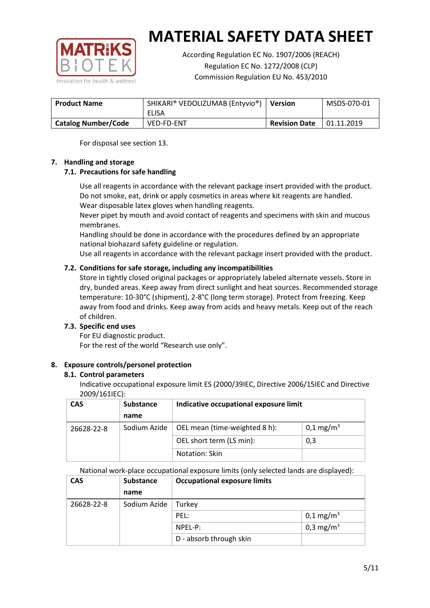

According Regulation EC No. 1907/2006 (REACH) Regulation EC No. 1272/2008 (CLP) Commission Regulation EU No. 453/2010

| <b>Product Name</b>        | SHIKARI® VEDOLIZUMAB (Entyvio®)<br>ELISA | <b>Version</b>       | MSDS-070-01 |
|----------------------------|------------------------------------------|----------------------|-------------|
| <b>Catalog Number/Code</b> | <b>VED-FD-ENT</b>                        | <b>Revision Date</b> | 01.11.2019  |

For disposal see section 13.

## **7. Handling and storage**

## **7.1. Precautions for safe handling**

Use all reagents in accordance with the relevant package insert provided with the product. Do not smoke, eat, drink or apply cosmetics in areas where kit reagents are handled. Wear disposable latex gloves when handling reagents.

Never pipet by mouth and avoid contact of reagents and specimens with skin and mucous membranes.

Handling should be done in accordance with the procedures defined by an appropriate national biohazard safety guideline or regulation.

Use all reagents in accordance with the relevant package insert provided with the product.

## **7.2. Conditions for safe storage, including any incompatibilities**

Store in tightly closed original packages or appropriately labeled alternate vessels. Store in dry, bunded areas. Keep away from direct sunlight and heat sources. Recommended storage temperature: 10-30°C (shipment), 2-8°C (long term storage). Protect from freezing. Keep away from food and drinks. Keep away from acids and heavy metals. Keep out of the reach of children.

## **7.3. Specific end uses**

For EU diagnostic product. For the rest of the world "Research use only".

## **8. Exposure controls/personel protection**

#### **8.1. Control parameters**

Indicative occupational exposure limit ES (2000/39IEC, Directive 2006/15IEC and Directive 2009/161IEC):

| <b>CAS</b> | <b>Substance</b> | Indicative occupational exposure limit |                       |
|------------|------------------|----------------------------------------|-----------------------|
|            | name             |                                        |                       |
| 26628-22-8 | Sodium Azide     | OEL mean (time-weighted 8 h):          | 0,1 mg/m <sup>3</sup> |
|            |                  | OEL short term (LS min):               | 0,3                   |
|            |                  | Notation: Skin                         |                       |

National work-place occupational exposure limits (only selected lands are displayed):

| <b>CAS</b> | <b>Substance</b> | <b>Occupational exposure limits</b> |                         |  |
|------------|------------------|-------------------------------------|-------------------------|--|
|            | name             |                                     |                         |  |
| 26628-22-8 | Sodium Azide     | Turkey                              |                         |  |
|            |                  | PEL:                                | $0,1 \,\mathrm{mg/m^3}$ |  |
|            |                  | $NPEL-P$ :                          | 0,3 mg/m <sup>3</sup>   |  |
|            |                  | D - absorb through skin             |                         |  |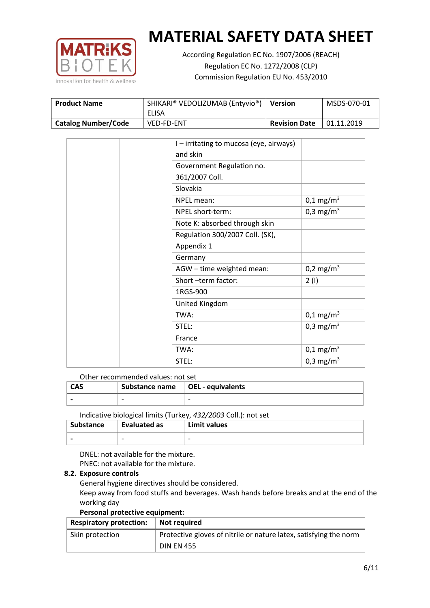

According Regulation EC No. 1907/2006 (REACH) Regulation EC No. 1272/2008 (CLP) Commission Regulation EU No. 453/2010

| <b>Product Name</b>        | SHIKARI® VEDOLIZUMAB (Entyvio®)<br>ELISA | Version              | MSDS-070-01 |
|----------------------------|------------------------------------------|----------------------|-------------|
| <b>Catalog Number/Code</b> | VED-FD-ENT                               | <b>Revision Date</b> | 01.11.2019  |

|  | I - irritating to mucosa (eye, airways) |                       |
|--|-----------------------------------------|-----------------------|
|  | and skin                                |                       |
|  | Government Regulation no.               |                       |
|  | 361/2007 Coll.                          |                       |
|  | Slovakia                                |                       |
|  | NPEL mean:                              | $0,1 \text{ mg/m}^3$  |
|  | NPEL short-term:                        | 0,3 mg/m <sup>3</sup> |
|  | Note K: absorbed through skin           |                       |
|  | Regulation 300/2007 Coll. (SK),         |                       |
|  | Appendix 1                              |                       |
|  | Germany                                 |                       |
|  | AGW - time weighted mean:               | 0,2 mg/m <sup>3</sup> |
|  | Short-term factor:                      | 2(1)                  |
|  | 1RGS-900                                |                       |
|  | United Kingdom                          |                       |
|  | TWA:                                    | $0,1 \text{ mg/m}^3$  |
|  | STEL:                                   | 0,3 mg/m <sup>3</sup> |
|  | France                                  |                       |
|  | TWA:                                    | $0,1 \text{ mg/m}^3$  |
|  | STEL:                                   | 0,3 mg/m <sup>3</sup> |

Other recommended values: not set

| <b>CAS</b> | Substance name   OEL - equivalents |   |
|------------|------------------------------------|---|
|            | $\overline{\phantom{0}}$           | - |
|            |                                    |   |

Indicative biological limits (Turkey, *432/2003* Coll.): not set

| Substance                | Evaluated as             | Limit values             |
|--------------------------|--------------------------|--------------------------|
| $\overline{\phantom{0}}$ | $\overline{\phantom{0}}$ | $\overline{\phantom{0}}$ |

DNEL: not available for the mixture. PNEC: not available for the mixture.

## **8.2. Exposure controls**

General hygiene directives should be considered.

Keep away from food stuffs and beverages. Wash hands before breaks and at the end of the working day

#### **Personal protective equipment:**

| <b>Respiratory protection:</b> | Not required                                                      |
|--------------------------------|-------------------------------------------------------------------|
| Skin protection                | Protective gloves of nitrile or nature latex, satisfying the norm |
|                                | <b>DIN EN 455</b>                                                 |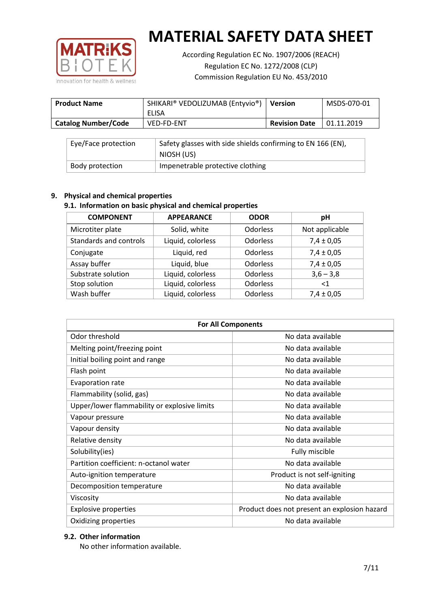

According Regulation EC No. 1907/2006 (REACH) Regulation EC No. 1272/2008 (CLP) Commission Regulation EU No. 453/2010

| <b>Product Name</b>        | SHIKARI® VEDOLIZUMAB (Entyvio®)<br>ELISA | <b>Version</b>       | MSDS-070-01 |
|----------------------------|------------------------------------------|----------------------|-------------|
| <b>Catalog Number/Code</b> | <b>VED-FD-ENT</b>                        | <b>Revision Date</b> | 01.11.2019  |

| Eye/Face protection | Safety glasses with side shields confirming to EN 166 (EN),<br>NIOSH (US) |
|---------------------|---------------------------------------------------------------------------|
| Body protection     | Impenetrable protective clothing                                          |

## **9. Physical and chemical properties**

# **9.1. Information on basic physical and chemical properties**

| <b>COMPONENT</b>       | <b>APPEARANCE</b> | <b>ODOR</b>     | pH             |
|------------------------|-------------------|-----------------|----------------|
| Microtiter plate       | Solid, white      | Odorless        | Not applicable |
| Standards and controls | Liquid, colorless | <b>Odorless</b> | $7,4 \pm 0,05$ |
| Conjugate              | Liquid, red       | <b>Odorless</b> | $7,4 \pm 0,05$ |
| Assay buffer           | Liquid, blue      | <b>Odorless</b> | $7,4 \pm 0,05$ |
| Substrate solution     | Liquid, colorless | Odorless        | $3,6 - 3,8$    |
| Stop solution          | Liquid, colorless | Odorless        | $\leq 1$       |
| Wash buffer            | Liquid, colorless | Odorless        | $7,4 \pm 0,05$ |

| <b>For All Components</b>                    |                                              |  |  |
|----------------------------------------------|----------------------------------------------|--|--|
| Odor threshold                               | No data available                            |  |  |
| Melting point/freezing point                 | No data available                            |  |  |
| Initial boiling point and range              | No data available                            |  |  |
| Flash point                                  | No data available                            |  |  |
| <b>Evaporation rate</b>                      | No data available                            |  |  |
| Flammability (solid, gas)                    | No data available                            |  |  |
| Upper/lower flammability or explosive limits | No data available                            |  |  |
| Vapour pressure                              | No data available                            |  |  |
| Vapour density                               | No data available                            |  |  |
| Relative density                             | No data available                            |  |  |
| Solubility(ies)                              | Fully miscible                               |  |  |
| Partition coefficient: n-octanol water       | No data available                            |  |  |
| Auto-ignition temperature                    | Product is not self-igniting                 |  |  |
| Decomposition temperature                    | No data available                            |  |  |
| Viscosity                                    | No data available                            |  |  |
| <b>Explosive properties</b>                  | Product does not present an explosion hazard |  |  |
| Oxidizing properties                         | No data available                            |  |  |

## **9.2. Other information**

No other information available.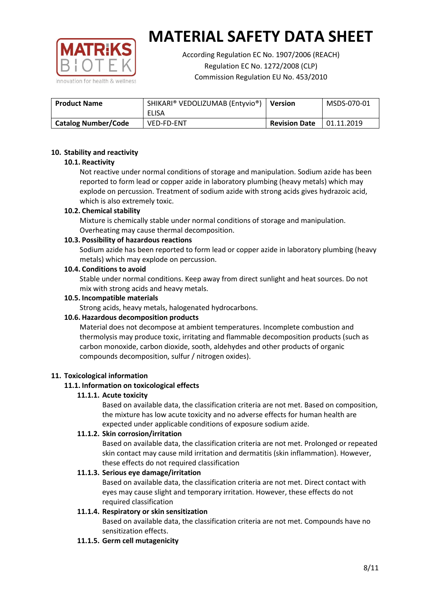

According Regulation EC No. 1907/2006 (REACH) Regulation EC No. 1272/2008 (CLP) Commission Regulation EU No. 453/2010

| <b>Product Name</b>        | SHIKARI® VEDOLIZUMAB (Entyvio®)<br>ELISA | <b>Version</b>       | MSDS-070-01 |
|----------------------------|------------------------------------------|----------------------|-------------|
| <b>Catalog Number/Code</b> | <b>VED-FD-ENT</b>                        | <b>Revision Date</b> | 01.11.2019  |

## **10. Stability and reactivity**

## **10.1. Reactivity**

Not reactive under normal conditions of storage and manipulation. Sodium azide has been reported to form lead or copper azide in laboratory plumbing (heavy metals) which may explode on percussion. Treatment of sodium azide with strong acids gives hydrazoic acid, which is also extremely toxic.

## **10.2. Chemical stability**

Mixture is chemically stable under normal conditions of storage and manipulation. Overheating may cause thermal decomposition.

## **10.3. Possibility of hazardous reactions**

Sodium azide has been reported to form lead or copper azide in laboratory plumbing (heavy metals) which may explode on percussion.

#### **10.4. Conditions to avoid**

Stable under normal conditions. Keep away from direct sunlight and heat sources. Do not mix with strong acids and heavy metals.

#### **10.5. Incompatible materials**

Strong acids, heavy metals, halogenated hydrocarbons.

## **10.6. Hazardous decomposition products**

Material does not decompose at ambient temperatures. Incomplete combustion and thermolysis may produce toxic, irritating and flammable decomposition products (such as carbon monoxide, carbon dioxide, sooth, aldehydes and other products of organic compounds decomposition, sulfur / nitrogen oxides).

#### **11. Toxicological information**

## **11.1. Information on toxicological effects**

## **11.1.1. Acute toxicity**

Based on available data, the classification criteria are not met. Based on composition, the mixture has low acute toxicity and no adverse effects for human health are expected under applicable conditions of exposure sodium azide.

## **11.1.2. Skin corrosion/irritation**

Based on available data, the classification criteria are not met. Prolonged or repeated skin contact may cause mild irritation and dermatitis (skin inflammation). However, these effects do not required classification

## **11.1.3. Serious eye damage/irritation**

Based on available data, the classification criteria are not met. Direct contact with eyes may cause slight and temporary irritation. However, these effects do not required classification

## **11.1.4. Respiratory or skin sensitization**

Based on available data, the classification criteria are not met. Compounds have no sensitization effects.

#### **11.1.5. Germ cell mutagenicity**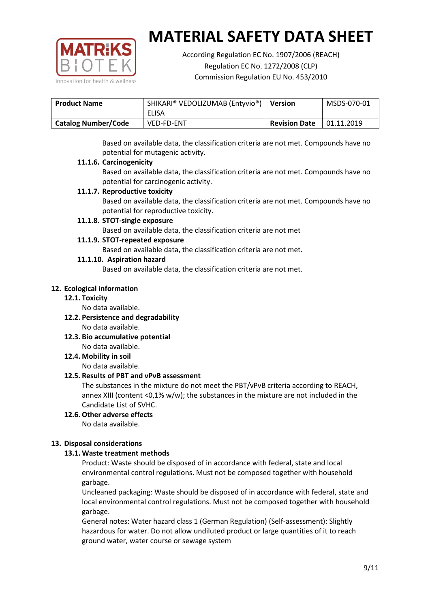

According Regulation EC No. 1907/2006 (REACH) Regulation EC No. 1272/2008 (CLP) Commission Regulation EU No. 453/2010

| <b>Product Name</b>        | SHIKARI® VEDOLIZUMAB (Entyvio®)<br>ELISA | <b>Version</b>       | MSDS-070-01 |
|----------------------------|------------------------------------------|----------------------|-------------|
| <b>Catalog Number/Code</b> | <b>VED-FD-ENT</b>                        | <b>Revision Date</b> | 01.11.2019  |

Based on available data, the classification criteria are not met. Compounds have no potential for mutagenic activity.

## **11.1.6. Carcinogenicity**

Based on available data, the classification criteria are not met. Compounds have no potential for carcinogenic activity.

## **11.1.7. Reproductive toxicity**

Based on available data, the classification criteria are not met. Compounds have no potential for reproductive toxicity.

## **11.1.8. STOT-single exposure**

Based on available data, the classification criteria are not met

## **11.1.9. STOT-repeated exposure**

Based on available data, the classification criteria are not met.

## **11.1.10. Aspiration hazard**

Based on available data, the classification criteria are not met.

## **12. Ecological information**

#### **12.1. Toxicity**

No data available.

- **12.2. Persistence and degradability** No data available.
- **12.3. Bio accumulative potential** No data available.

**12.4. Mobility in soil**

No data available.

## **12.5. Results of PBT and vPvB assessment**

The substances in the mixture do not meet the PBT/vPvB criteria according to REACH, annex XIII (content <0,1% w/w); the substances in the mixture are not included in the Candidate List of SVHC.

#### **12.6. Other adverse effects** No data available.

## **13. Disposal considerations**

## **13.1. Waste treatment methods**

Product: Waste should be disposed of in accordance with federal, state and local environmental control regulations. Must not be composed together with household garbage.

Uncleaned packaging: Waste should be disposed of in accordance with federal, state and local environmental control regulations. Must not be composed together with household garbage.

General notes: Water hazard class 1 (German Regulation) (Self-assessment): Slightly hazardous for water. Do not allow undiluted product or large quantities of it to reach ground water, water course or sewage system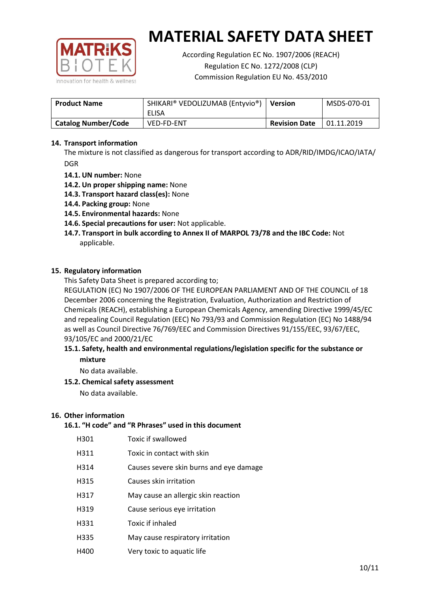

According Regulation EC No. 1907/2006 (REACH) Regulation EC No. 1272/2008 (CLP) Commission Regulation EU No. 453/2010

| <b>Product Name</b>        | SHIKARI® VEDOLIZUMAB (Entyvio®)<br>ELISA | <b>Version</b>       | MSDS-070-01 |
|----------------------------|------------------------------------------|----------------------|-------------|
| <b>Catalog Number/Code</b> | <b>VED-FD-ENT</b>                        | <b>Revision Date</b> | 01.11.2019  |

## **14. Transport information**

The mixture is not classified as dangerous for transport according to ADR/RID/IMDG/ICAO/IATA/ DGR

- **14.1. UN number:** None
- **14.2. Un proper shipping name:** None
- **14.3. Transport hazard class(es):** None
- **14.4. Packing group:** None
- **14.5. Environmental hazards:** None
- **14.6. Special precautions for user:** Not applicable.
- **14.7. Transport in bulk according to Annex II of MARPOL 73/78 and the IBC Code:** Not applicable.

#### **15. Regulatory information**

This Safety Data Sheet is prepared according to;

REGULATION (EC) No 1907/2006 OF THE EUROPEAN PARLIAMENT AND OF THE COUNCIL of 18 December 2006 concerning the Registration, Evaluation, Authorization and Restriction of Chemicals (REACH), establishing a European Chemicals Agency, amending Directive 1999/45/EC and repealing Council Regulation (EEC) No 793/93 and Commission Regulation (EC) No 1488/94 as well as Council Directive 76/769/EEC and Commission Directives 91/155/EEC, 93/67/EEC, 93/105/EC and 2000/21/EC

## **15.1. Safety, health and environmental regulations/legislation specific for the substance or mixture**

No data available.

## **15.2. Chemical safety assessment**

No data available.

#### **16. Other information**

## **16.1. "H code" and "R Phrases" used in this document**

| H301 | Toxic if swallowed |
|------|--------------------|
|------|--------------------|

- H311 Toxic in contact with skin
- H314 Causes severe skin burns and eye damage
- H315 Causes skin irritation
- H317 May cause an allergic skin reaction
- H319 Cause serious eye irritation
- H331 Toxic if inhaled
- H335 May cause respiratory irritation
- H400 Very toxic to aquatic life